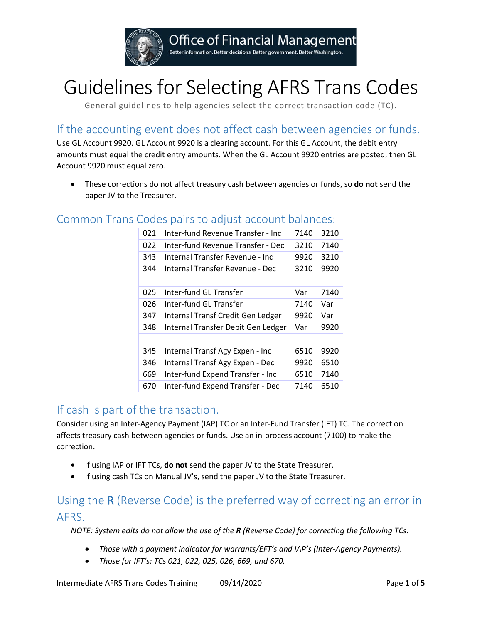

# Guidelines for Selecting AFRS Trans Codes

General guidelines to help agencies select the correct transaction code (TC).

# If the accounting event does not affect cash between agencies or funds.

Use GL Account 9920. GL Account 9920 is a clearing account. For this GL Account, the debit entry amounts must equal the credit entry amounts. When the GL Account 9920 entries are posted, then GL Account 9920 must equal zero.

• These corrections do not affect treasury cash between agencies or funds, so **do not** send the paper JV to the Treasurer.

## Common Trans Codes pairs to adjust account balances:

| 021 | Inter-fund Revenue Transfer - Inc  | 7140 | 3210 |
|-----|------------------------------------|------|------|
| 022 | Inter-fund Revenue Transfer - Dec  | 3210 | 7140 |
| 343 | Internal Transfer Revenue - Inc    | 9920 | 3210 |
| 344 | Internal Transfer Revenue - Dec    | 3210 | 9920 |
|     |                                    |      |      |
| 025 | Inter-fund GL Transfer             | Var  | 7140 |
| 026 | Inter-fund GL Transfer             | 7140 | Var  |
| 347 | Internal Transf Credit Gen Ledger  | 9920 | Var  |
| 348 | Internal Transfer Debit Gen Ledger | Var  | 9920 |
|     |                                    |      |      |
| 345 | Internal Transf Agy Expen - Inc    | 6510 | 9920 |
| 346 | Internal Transf Agy Expen - Dec    | 9920 | 6510 |
| 669 | Inter-fund Expend Transfer - Inc   | 6510 | 7140 |
| 670 | Inter-fund Expend Transfer - Dec   | 7140 | 6510 |

## If cash is part of the transaction.

Consider using an Inter-Agency Payment (IAP) TC or an Inter-Fund Transfer (IFT) TC. The correction affects treasury cash between agencies or funds. Use an in-process account (7100) to make the correction.

- If using IAP or IFT TCs, **do not** send the paper JV to the State Treasurer.
- If using cash TCs on Manual JV's, send the paper JV to the State Treasurer.

# Using the R (Reverse Code) is the preferred way of correcting an error in AFRS.

*NOTE: System edits do not allow the use of the R (Reverse Code) for correcting the following TCs:*

- *Those with a payment indicator for warrants/EFT's and IAP's (Inter-Agency Payments).*
- *Those for IFT's: TCs 021, 022, 025, 026, 669, and 670.*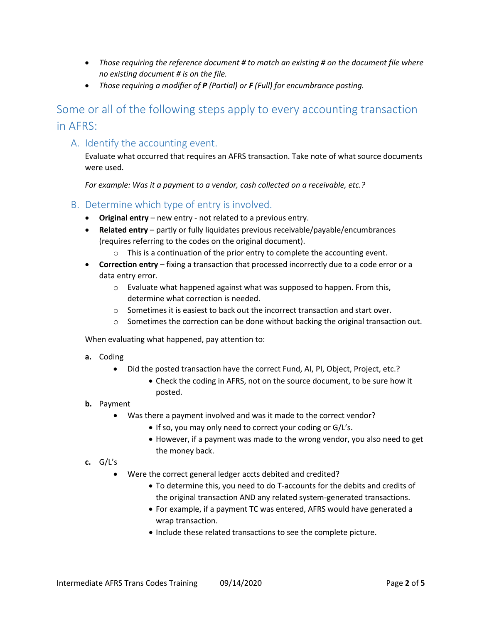- *Those requiring the reference document # to match an existing # on the document file where no existing document # is on the file.*
- *Those requiring a modifier of P (Partial) or F (Full) for encumbrance posting.*

# Some or all of the following steps apply to every accounting transaction in AFRS:

### A. Identify the accounting event.

Evaluate what occurred that requires an AFRS transaction. Take note of what source documents were used.

*For example: Was it a payment to a vendor, cash collected on a receivable, etc.?*

- B. Determine which type of entry is involved.
	- **Original entry** new entry not related to a previous entry.
	- **Related entry** partly or fully liquidates previous receivable/payable/encumbrances (requires referring to the codes on the original document).
		- o This is a continuation of the prior entry to complete the accounting event.
	- **Correction entry** fixing a transaction that processed incorrectly due to a code error or a data entry error.
		- o Evaluate what happened against what was supposed to happen. From this, determine what correction is needed.
		- o Sometimes it is easiest to back out the incorrect transaction and start over.
		- $\circ$  Sometimes the correction can be done without backing the original transaction out.

When evaluating what happened, pay attention to:

- **a.** Coding
	- Did the posted transaction have the correct Fund, AI, PI, Object, Project, etc.?
		- Check the coding in AFRS, not on the source document, to be sure how it posted.
- **b.** Payment
	- Was there a payment involved and was it made to the correct vendor?
		- If so, you may only need to correct your coding or G/L's.
		- However, if a payment was made to the wrong vendor, you also need to get the money back.

#### **c.** G/L's

- Were the correct general ledger accts debited and credited?
	- To determine this, you need to do T-accounts for the debits and credits of the original transaction AND any related system-generated transactions.
	- For example, if a payment TC was entered, AFRS would have generated a wrap transaction.
	- Include these related transactions to see the complete picture.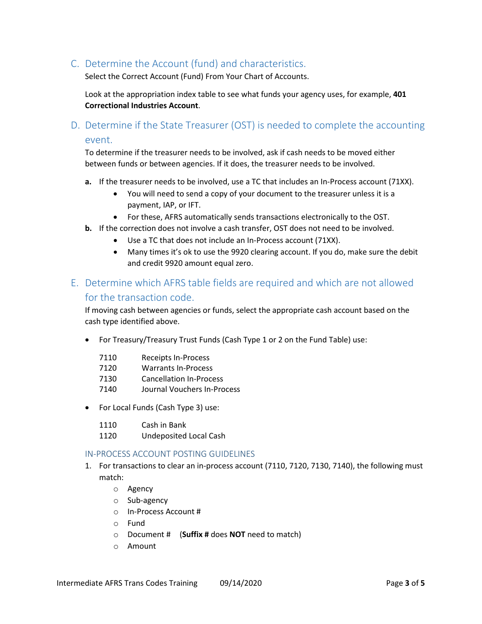C. Determine the Account (fund) and characteristics.

Select the Correct Account (Fund) From Your Chart of Accounts.

Look at the appropriation index table to see what funds your agency uses, for example, **401 Correctional Industries Account**.

D. Determine if the State Treasurer (OST) is needed to complete the accounting event.

To determine if the treasurer needs to be involved, ask if cash needs to be moved either between funds or between agencies. If it does, the treasurer needs to be involved.

- **a.** If the treasurer needs to be involved, use a TC that includes an In-Process account (71XX).
	- You will need to send a copy of your document to the treasurer unless it is a payment, IAP, or IFT.
	- For these, AFRS automatically sends transactions electronically to the OST.
- **b.** If the correction does not involve a cash transfer, OST does not need to be involved.
	- Use a TC that does not include an In-Process account (71XX).
	- Many times it's ok to use the 9920 clearing account. If you do, make sure the debit and credit 9920 amount equal zero.

## E. Determine which AFRS table fields are required and which are not allowed for the transaction code.

If moving cash between agencies or funds, select the appropriate cash account based on the cash type identified above.

• For Treasury/Treasury Trust Funds (Cash Type 1 or 2 on the Fund Table) use:

| 7110 | <b>Receipts In-Process</b> |
|------|----------------------------|
|------|----------------------------|

- 7120 Warrants In-Process
- 7130 Cancellation In-Process
- 7140 Journal Vouchers In-Process
- For Local Funds (Cash Type 3) use:
	- 1110 Cash in Bank
	- 1120 Undeposited Local Cash

#### IN-PROCESS ACCOUNT POSTING GUIDELINES

- 1. For transactions to clear an in-process account (7110, 7120, 7130, 7140), the following must match:
	- o Agency
	- o Sub-agency
	- o In-Process Account #
	- o Fund
	- o Document # (**Suffix #** does **NOT** need to match)
	- o Amount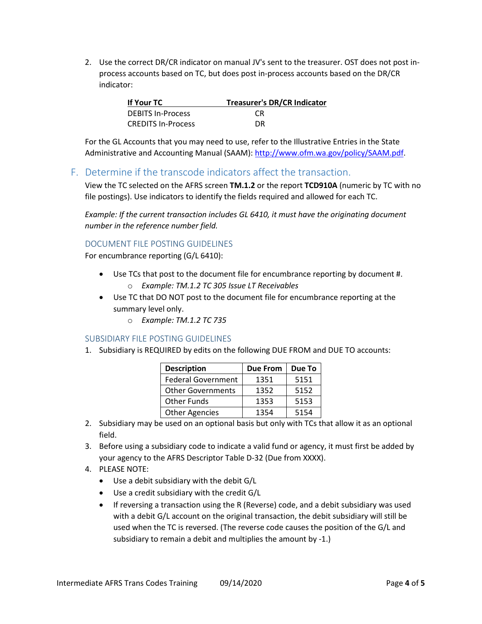2. Use the correct DR/CR indicator on manual JV's sent to the treasurer. OST does not post inprocess accounts based on TC, but does post in-process accounts based on the DR/CR indicator:

| If Your TC               | <b>Treasurer's DR/CR Indicator</b> |
|--------------------------|------------------------------------|
| <b>DEBITS In-Process</b> | CR.                                |
| CREDITS In-Process       | DR                                 |

For the GL Accounts that you may need to use, refer to the Illustrative Entries in the State Administrative and Accounting Manual (SAAM): [http://www.ofm.wa.gov/policy/SAAM.pdf.](http://www.ofm.wa.gov/policy/SAAM.pdf)

## F. Determine if the transcode indicators affect the transaction.

View the TC selected on the AFRS screen **TM.1.2** or the report **TCD910A** (numeric by TC with no file postings). Use indicators to identify the fields required and allowed for each TC.

*Example: If the current transaction includes GL 6410, it must have the originating document number in the reference number field.*

#### DOCUMENT FILE POSTING GUIDELINES

For encumbrance reporting (G/L 6410):

- Use TCs that post to the document file for encumbrance reporting by document #. o *Example: TM.1.2 TC 305 Issue LT Receivables*
- Use TC that DO NOT post to the document file for encumbrance reporting at the summary level only.
	- o *Example: TM.1.2 TC 735*

#### SUBSIDIARY FILE POSTING GUIDELINES

1. Subsidiary is REQUIRED by edits on the following DUE FROM and DUE TO accounts:

| <b>Description</b>        | <b>Due From</b> | Due To |
|---------------------------|-----------------|--------|
| <b>Federal Government</b> | 1351            | 5151   |
| <b>Other Governments</b>  | 1352            | 5152   |
| <b>Other Funds</b>        | 1353            | 5153   |
| <b>Other Agencies</b>     | 1354            | 5154   |

- 2. Subsidiary may be used on an optional basis but only with TCs that allow it as an optional field.
- 3. Before using a subsidiary code to indicate a valid fund or agency, it must first be added by your agency to the AFRS Descriptor Table D-32 (Due from XXXX).
- 4. PLEASE NOTE:
	- Use a debit subsidiary with the debit G/L
	- Use a credit subsidiary with the credit G/L
	- If reversing a transaction using the R (Reverse) code, and a debit subsidiary was used with a debit G/L account on the original transaction, the debit subsidiary will still be used when the TC is reversed. (The reverse code causes the position of the G/L and subsidiary to remain a debit and multiplies the amount by -1.)